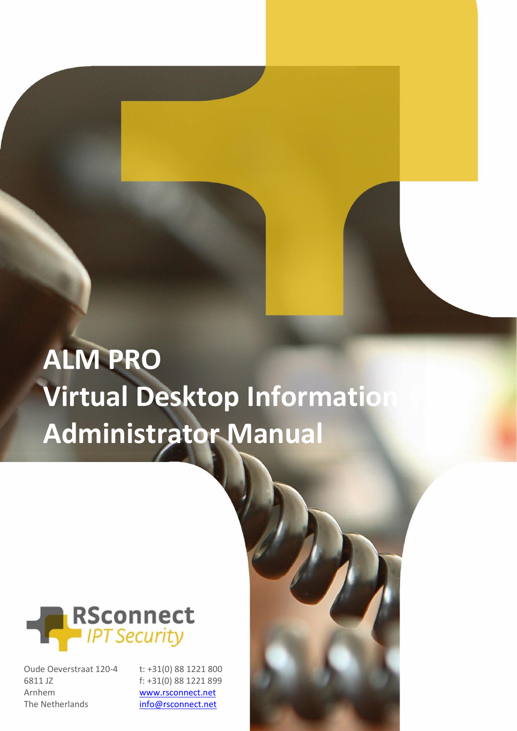# **ALM PRO Virtual Desktop Information Administrator Manual**



Oude Oeverstraat 120-4 6811 JZ Arnhem The Netherlands

t: +31(0) 88 1221 800 f: +31(0) 88 1221 899 [www.rsconnect.net](http://www.rsconnect.net/)

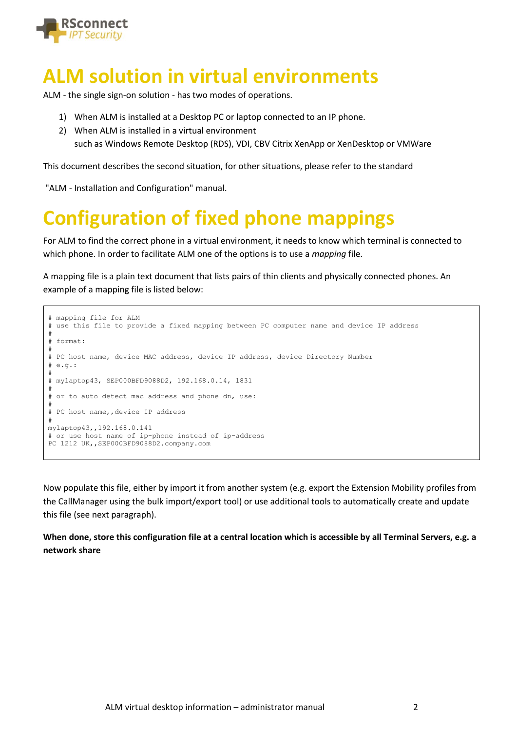

#### **ALM solution in virtual environments**

ALM - the single sign-on solution - has two modes of operations.

- 1) When ALM is installed at a Desktop PC or laptop connected to an IP phone.
- 2) When ALM is installed in a virtual environment such as Windows Remote Desktop (RDS), VDI, CBV Citrix XenApp or XenDesktop or VMWare

This document describes the second situation, for other situations, please refer to the standard

"ALM - Installation and Configuration" manual.

# **Configuration of fixed phone mappings**

For ALM to find the correct phone in a virtual environment, it needs to know which terminal is connected to which phone. In order to facilitate ALM one of the options is to use a *mapping* file.

A mapping file is a plain text document that lists pairs of thin clients and physically connected phones. An example of a mapping file is listed below:

```
# mapping file for ALM
# use this file to provide a fixed mapping between PC computer name and device IP address
#
# format:
#
# PC host name, device MAC address, device IP address, device Directory Number
# e.g.:
#
# mylaptop43, SEP000BFD9088D2, 192.168.0.14, 1831
#
# or to auto detect mac address and phone dn, use:
#
# PC host name,,device IP address
#
mylaptop43,,192.168.0.141
# or use host name of ip-phone instead of ip-address
PC 1212 UK, , SEP000BFD9088D2.company.com
```
Now populate this file, either by import it from another system (e.g. export the Extension Mobility profiles from the CallManager using the bulk import/export tool) or use additional tools to automatically create and update this file (see next paragraph).

**When done, store this configuration file at a central location which is accessible by all Terminal Servers, e.g. a network share**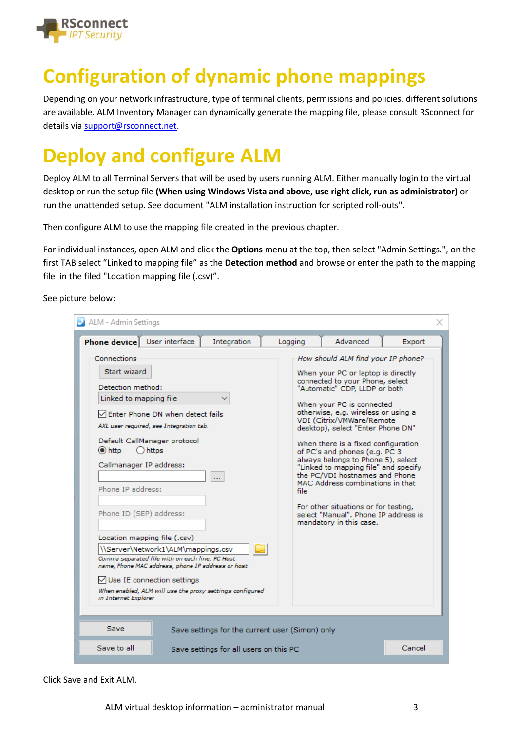

## **Configuration of dynamic phone mappings**

Depending on your network infrastructure, type of terminal clients, permissions and policies, different solutions are available. ALM Inventory Manager can dynamically generate the mapping file, please consult RSconnect for details via [support@rsconnect.net.](mailto:support@rsconnect.net)

# **Deploy and configure ALM**

Deploy ALM to all Terminal Servers that will be used by users running ALM. Either manually login to the virtual desktop or run the setup file **(When using Windows Vista and above, use right click, run as administrator)** or run the unattended setup. See document "ALM installation instruction for scripted roll-outs".

Then configure ALM to use the mapping file created in the previous chapter.

For individual instances, open ALM and click the **Options** menu at the top, then select "Admin Settings.", on the first TAB select "Linked to mapping file" as the **Detection method** and browse or enter the path to the mapping file in the filed "Location mapping file (.csv)".

See picture below:

| 2 ALM - Admin Settings                                                                                                                                                                                                                                                                                                                                                                                                                                                                                                                                                                                         |                                                 |         |                                                                                                                                                                                                                                                                                                                                                                                                                                                                                                                                                                                                                           |        |
|----------------------------------------------------------------------------------------------------------------------------------------------------------------------------------------------------------------------------------------------------------------------------------------------------------------------------------------------------------------------------------------------------------------------------------------------------------------------------------------------------------------------------------------------------------------------------------------------------------------|-------------------------------------------------|---------|---------------------------------------------------------------------------------------------------------------------------------------------------------------------------------------------------------------------------------------------------------------------------------------------------------------------------------------------------------------------------------------------------------------------------------------------------------------------------------------------------------------------------------------------------------------------------------------------------------------------------|--------|
| User interface<br><b>Phone device</b>                                                                                                                                                                                                                                                                                                                                                                                                                                                                                                                                                                          | Integration                                     | Logging | Advanced                                                                                                                                                                                                                                                                                                                                                                                                                                                                                                                                                                                                                  | Export |
| Connections<br>Start wizard<br>Detection method:<br>Linked to mapping file<br>Enter Phone DN when detect fails<br>AXL user required, see Integration tab.<br>Default CallManager protocol<br>$\odot$ http<br>$\bigcap$ https<br>Callmanager IP address:<br>Phone IP address:<br>Phone ID (SEP) address:<br>Location mapping file (.csv)<br>\\Server\Network1\ALM\mappings.csv<br>Comma separated file with on each line: PC Host<br>name, Phone MAC address, phone IP address or host<br>$\vee$ Use IE connection settings<br>When enabled, ALM will use the proxy settings configured<br>in Internet Explorer | $\cdots$                                        | file    | How should ALM find your IP phone?<br>When your PC or laptop is directly<br>connected to your Phone, select<br>"Automatic" CDP, LLDP or both<br>When your PC is connected<br>otherwise, e.g. wireless or using a<br>VDI (Citrix/VMWare/Remote<br>desktop), select "Enter Phone DN"<br>When there is a fixed configuration<br>of PC's and phones (e.g. PC 3<br>always belongs to Phone 5), select<br>"Linked to mapping file" and specify<br>the PC/VDI hostnames and Phone<br>MAC Address combinations in that<br>For other situations or for testing,<br>select "Manual". Phone IP address is<br>mandatory in this case. |        |
| Save                                                                                                                                                                                                                                                                                                                                                                                                                                                                                                                                                                                                           | Save settings for the current user (Simon) only |         |                                                                                                                                                                                                                                                                                                                                                                                                                                                                                                                                                                                                                           |        |
| Save to all                                                                                                                                                                                                                                                                                                                                                                                                                                                                                                                                                                                                    | Save settings for all users on this PC          |         |                                                                                                                                                                                                                                                                                                                                                                                                                                                                                                                                                                                                                           | Cancel |

Click Save and Exit ALM.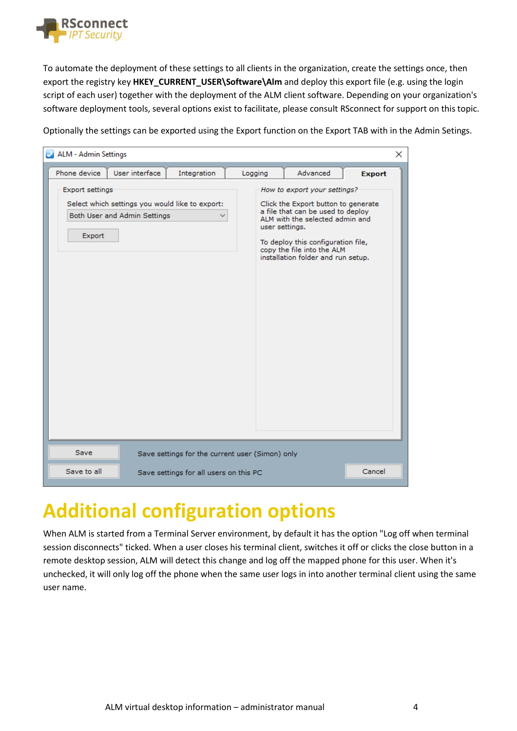

To automate the deployment of these settings to all clients in the organization, create the settings once, then export the registry key **HKEY\_CURRENT\_USER\Software\Alm** and deploy this export file (e.g. using the login script of each user) together with the deployment of the ALM client software. Depending on your organization's software deployment tools, several options exist to facilitate, please consult RSconnect for support on this topic.

Optionally the settings can be exported using the Export function on the Export TAB with in the Admin Setings.



### **Additional configuration options**

When ALM is started from a Terminal Server environment, by default it has the option "Log off when terminal session disconnects" ticked. When a user closes his terminal client, switches it off or clicks the close button in a remote desktop session, ALM will detect this change and log off the mapped phone for this user. When it's unchecked, it will only log off the phone when the same user logs in into another terminal client using the same user name.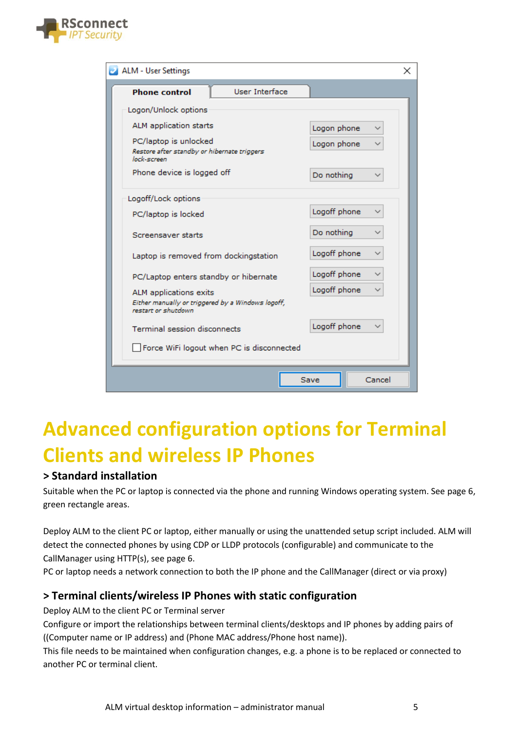

| ALM - User Settings                                                                                | $\times$                    |  |
|----------------------------------------------------------------------------------------------------|-----------------------------|--|
| User Interface<br><b>Phone control</b>                                                             |                             |  |
| Logon/Unlock options                                                                               |                             |  |
| ALM application starts                                                                             | Logon phone                 |  |
| PC/laptop is unlocked<br>Restore after standby or hibernate triggers<br>lock-screen.               | Logon phone<br>$\checkmark$ |  |
| Phone device is logged off                                                                         | Do nothing                  |  |
| Logoff/Lock options                                                                                |                             |  |
| PC/laptop is locked                                                                                | Logoff phone                |  |
| Screensaver starts                                                                                 | Do nothing                  |  |
| Laptop is removed from dockingstation                                                              | Logoff phone                |  |
| PC/Laptop enters standby or hibernate                                                              | Logoff phone                |  |
| ALM applications exits<br>Either manually or triggered by a Windows logoff,<br>restart or shutdown | Logoff phone                |  |
| <b>Terminal session disconnects</b>                                                                | Logoff phone                |  |
| Force WiFi logout when PC is disconnected                                                          |                             |  |
|                                                                                                    | Cancel<br>Save              |  |

### **Advanced configuration options for Terminal Clients and wireless IP Phones**

#### **> Standard installation**

Suitable when the PC or laptop is connected via the phone and running Windows operating system. See page 6, green rectangle areas.

Deploy ALM to the client PC or laptop, either manually or using the unattended setup script included. ALM will detect the connected phones by using CDP or LLDP protocols (configurable) and communicate to the CallManager using HTTP(s), see page 6.

PC or laptop needs a network connection to both the IP phone and the CallManager (direct or via proxy)

#### **> Terminal clients/wireless IP Phones with static configuration**

Deploy ALM to the client PC or Terminal server

Configure or import the relationships between terminal clients/desktops and IP phones by adding pairs of ((Computer name or IP address) and (Phone MAC address/Phone host name)).

This file needs to be maintained when configuration changes, e.g. a phone is to be replaced or connected to another PC or terminal client.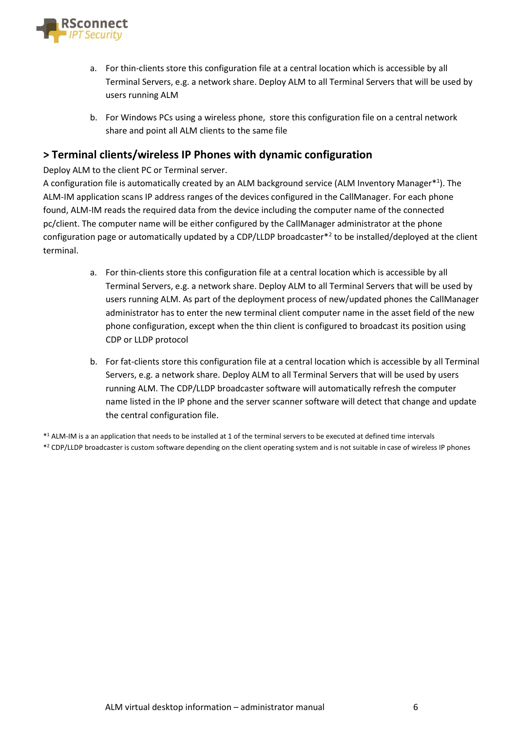

- a. For thin-clients store this configuration file at a central location which is accessible by all Terminal Servers, e.g. a network share. Deploy ALM to all Terminal Servers that will be used by users running ALM
- b. For Windows PCs using a wireless phone, store this configuration file on a central network share and point all ALM clients to the same file

#### **> Terminal clients/wireless IP Phones with dynamic configuration**

Deploy ALM to the client PC or Terminal server.

A configuration file is automatically created by an ALM background service (ALM Inventory Manager\*<sup>1</sup>). The ALM-IM application scans IP address ranges of the devices configured in the CallManager. For each phone found, ALM-IM reads the required data from the device including the computer name of the connected pc/client. The computer name will be either configured by the CallManager administrator at the phone configuration page or automatically updated by a CDP/LLDP broadcaster<sup>\*2</sup> to be installed/deployed at the client terminal.

- a. For thin-clients store this configuration file at a central location which is accessible by all Terminal Servers, e.g. a network share. Deploy ALM to all Terminal Servers that will be used by users running ALM. As part of the deployment process of new/updated phones the CallManager administrator has to enter the new terminal client computer name in the asset field of the new phone configuration, except when the thin client is configured to broadcast its position using CDP or LLDP protocol
- b. For fat-clients store this configuration file at a central location which is accessible by all Terminal Servers, e.g. a network share. Deploy ALM to all Terminal Servers that will be used by users running ALM. The CDP/LLDP broadcaster software will automatically refresh the computer name listed in the IP phone and the server scanner software will detect that change and update the central configuration file.

\* <sup>1</sup> ALM-IM is a an application that needs to be installed at 1 of the terminal servers to be executed at defined time intervals \* <sup>2</sup> CDP/LLDP broadcaster is custom software depending on the client operating system and is not suitable in case of wireless IP phones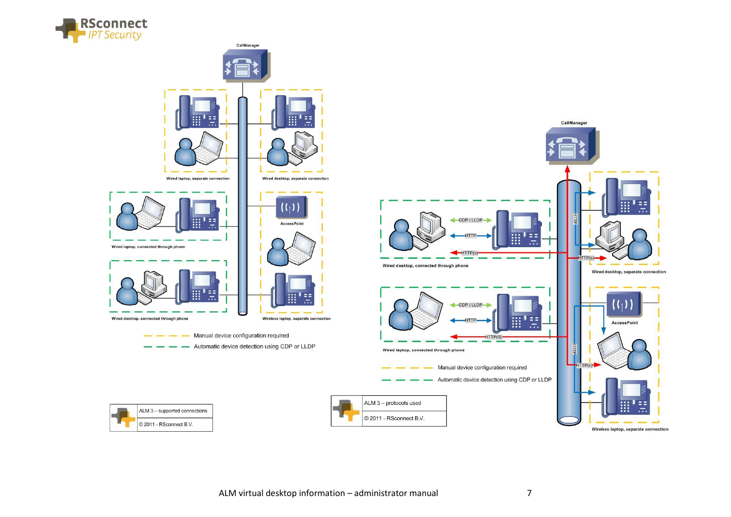